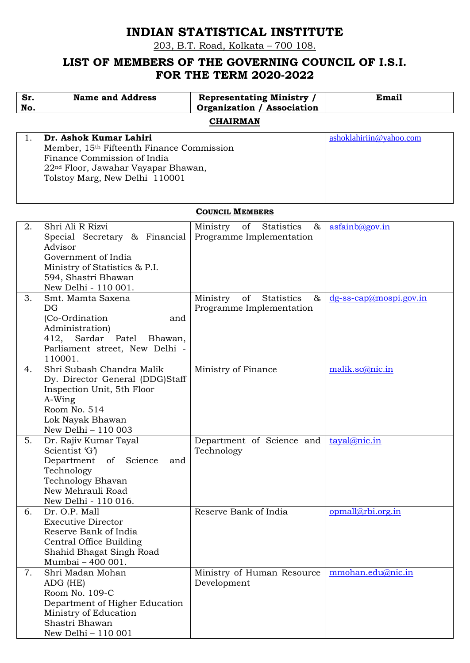# **INDIAN STATISTICAL INSTITUTE**

203, B.T. Road, Kolkata – 700 108.

## **LIST OF MEMBERS OF THE GOVERNING COUNCIL OF I.S.I. FOR THE TERM 2020-2022**

| Sr.<br>No. | <b>Name and Address</b>                                                                                                                                                                 | <b>Representating Ministry /</b><br><b>Organization / Association</b> | Email                   |  |  |  |  |
|------------|-----------------------------------------------------------------------------------------------------------------------------------------------------------------------------------------|-----------------------------------------------------------------------|-------------------------|--|--|--|--|
|            | <b>CHAIRMAN</b>                                                                                                                                                                         |                                                                       |                         |  |  |  |  |
|            | Dr. Ashok Kumar Lahiri<br>Member, 15th Fifteenth Finance Commission<br>Finance Commission of India<br>22 <sup>nd</sup> Floor, Jawahar Vayapar Bhawan,<br>Tolstoy Marg, New Delhi 110001 |                                                                       | ashoklahiriin@yahoo.com |  |  |  |  |

#### **COUNCIL MEMBERS**

| 2. | Shri Ali R Rizvi                      | Ministry of<br>Statistics<br>&                 | asfainb@gov.in            |
|----|---------------------------------------|------------------------------------------------|---------------------------|
|    | Special Secretary & Financial         | Programme Implementation                       |                           |
|    | Advisor                               |                                                |                           |
|    | Government of India                   |                                                |                           |
|    | Ministry of Statistics & P.I.         |                                                |                           |
|    | 594, Shastri Bhawan                   |                                                |                           |
|    | New Delhi - 110 001.                  |                                                |                           |
| 3. | Smt. Mamta Saxena                     | Ministry<br>Statistics<br>of<br>&              | $dg$ -ss-cap@mospi.gov.in |
|    | DG                                    | Programme Implementation                       |                           |
|    | (Co-Ordination)<br>and                |                                                |                           |
|    | Administration)                       |                                                |                           |
|    | 412, Sardar Patel Bhawan,             |                                                |                           |
|    | Parliament street, New Delhi -        |                                                |                           |
|    | 110001.                               |                                                |                           |
| 4. | Shri Subash Chandra Malik             | Ministry of Finance                            | malik.sc@nic.in           |
|    | Dy. Director General (DDG)Staff       |                                                |                           |
|    | Inspection Unit, 5th Floor            |                                                |                           |
|    | A-Wing                                |                                                |                           |
|    | Room No. 514                          |                                                |                           |
|    | Lok Nayak Bhawan                      |                                                |                           |
|    | New Delhi - 110 003                   |                                                |                           |
| 5. | Dr. Rajiv Kumar Tayal                 | Department of Science and                      | tayal@nic.in              |
|    |                                       |                                                |                           |
|    | Scientist 'G')                        | Technology                                     |                           |
|    | Department<br>of Science<br>and       |                                                |                           |
|    | Technology                            |                                                |                           |
|    | Technology Bhavan                     |                                                |                           |
|    | New Mehrauli Road                     |                                                |                           |
|    | New Delhi - 110 016.                  |                                                |                           |
| 6. | Dr. O.P. Mall                         | Reserve Bank of India                          | opmall@rbi.org.in         |
|    | <b>Executive Director</b>             |                                                |                           |
|    | Reserve Bank of India                 |                                                |                           |
|    | Central Office Building               |                                                |                           |
|    | Shahid Bhagat Singh Road              |                                                |                           |
|    | Mumbai - 400 001.                     |                                                |                           |
| 7. | Shri Madan Mohan                      | Ministry of Human Resource   mmohan.edu@nic.in |                           |
|    | ADG (HE)                              | Development                                    |                           |
|    | Room No. 109-C                        |                                                |                           |
|    | Department of Higher Education        |                                                |                           |
|    | Ministry of Education                 |                                                |                           |
|    | Shastri Bhawan<br>New Delhi - 110 001 |                                                |                           |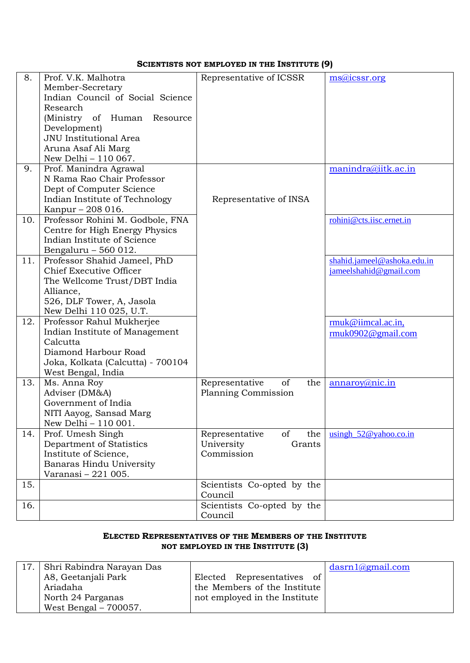#### **SCIENTISTS NOT EMPLOYED IN THE INSTITUTE (9)**

| 8.  | Prof. V.K. Malhotra                   | Representative of ICSSR     | $msa$ <i>icssr.org</i>      |
|-----|---------------------------------------|-----------------------------|-----------------------------|
|     | Member-Secretary                      |                             |                             |
|     | Indian Council of Social Science      |                             |                             |
|     | Research                              |                             |                             |
|     | (Ministry of Human<br>Resource        |                             |                             |
|     | Development)                          |                             |                             |
|     | JNU Institutional Area                |                             |                             |
|     | Aruna Asaf Ali Marg                   |                             |                             |
|     | New Delhi - 110 067.                  |                             |                             |
| 9.  | Prof. Manindra Agrawal                |                             | manindra@iitk.ac.in         |
|     | N Rama Rao Chair Professor            |                             |                             |
|     | Dept of Computer Science              |                             |                             |
|     | Indian Institute of Technology        | Representative of INSA      |                             |
|     | Kanpur - 208 016.                     |                             |                             |
| 10. | Professor Rohini M. Godbole, FNA      |                             | rohini@cts.iisc.ernet.in    |
|     | Centre for High Energy Physics        |                             |                             |
|     | Indian Institute of Science           |                             |                             |
|     | Bengaluru - 560 012.                  |                             |                             |
| 11. | Professor Shahid Jameel, PhD          |                             | shahid.jameel@ashoka.edu.in |
|     | Chief Executive Officer               |                             | jameelshahid@gmail.com      |
|     | The Wellcome Trust/DBT India          |                             |                             |
|     | Alliance,                             |                             |                             |
|     | 526, DLF Tower, A, Jasola             |                             |                             |
|     | New Delhi 110 025, U.T.               |                             |                             |
| 12. | Professor Rahul Mukherjee             |                             | rmuk@iimcal.ac.in,          |
|     | Indian Institute of Management        |                             | rmuk0902@gmail.com          |
|     | Calcutta                              |                             |                             |
|     | Diamond Harbour Road                  |                             |                             |
|     | Joka, Kolkata (Calcutta) - 700104     |                             |                             |
|     | West Bengal, India                    |                             |                             |
| 13. | Ms. Anna Roy                          | Representative<br>of<br>the | annaroy@nic.in              |
|     | Adviser (DM&A)<br>Government of India | Planning Commission         |                             |
|     | NITI Aayog, Sansad Marg               |                             |                             |
|     | New Delhi - 110 001.                  |                             |                             |
| 14. | Prof. Umesh Singh                     | the<br>Representative<br>of | $using h_52@yahoo.co.in$    |
|     | Department of Statistics              | University<br>Grants        |                             |
|     | Institute of Science,                 | Commission                  |                             |
|     | Banaras Hindu University              |                             |                             |
|     | Varanasi - 221 005.                   |                             |                             |
| 15. |                                       | Scientists Co-opted by the  |                             |
|     |                                       | Council                     |                             |
| 16. |                                       | Scientists Co-opted by the  |                             |
|     |                                       | Council                     |                             |

#### **ELECTED REPRESENTATIVES OF THE MEMBERS OF THE INSTITUTE NOT EMPLOYED IN THE INSTITUTE (3)**

| 17. Shri Rabindra Narayan Das |                               | $dasrn1$ <i>(agmail.com</i> ) |
|-------------------------------|-------------------------------|-------------------------------|
| A8, Geetanjali Park           | Elected Representatives<br>of |                               |
| Ariadaha                      | the Members of the Institute  |                               |
| North 24 Parganas             | not employed in the Institute |                               |
| West Bengal $-700057$ .       |                               |                               |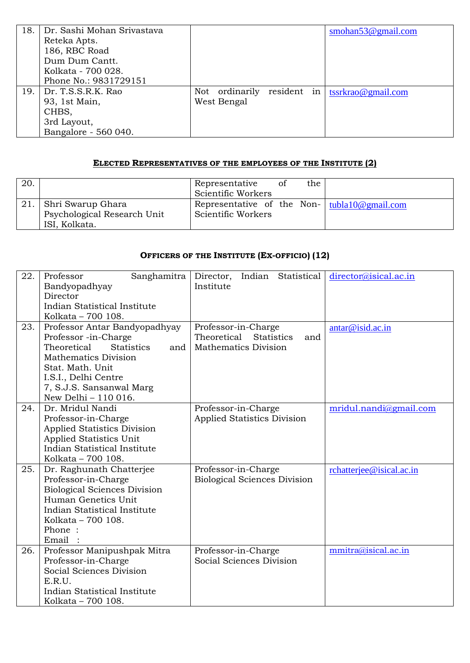| 18. | Dr. Sashi Mohan Srivastava |                            |  | smohan $53@$ gmail.com |
|-----|----------------------------|----------------------------|--|------------------------|
|     | Reteka Apts.               |                            |  |                        |
|     | 186, RBC Road              |                            |  |                        |
|     | Dum Dum Cantt.             |                            |  |                        |
|     | Kolkata - 700 028.         |                            |  |                        |
|     | Phone No.: 9831729151      |                            |  |                        |
| 19. | Dr. T.S.S.R.K. Rao         | Not ordinarily resident in |  | tssrkrao@gmail.com     |
|     | 93, 1st Main,              | West Bengal                |  |                        |
|     | CHBS,                      |                            |  |                        |
|     | 3rd Layout,                |                            |  |                        |
|     | Bangalore - 560 040.       |                            |  |                        |

#### **ELECTED REPRESENTATIVES OF THE EMPLOYEES OF THE INSTITUTE (2)**

| 20. |                                                                   | Representative<br>Scientific Workers | -of | the |                                                        |
|-----|-------------------------------------------------------------------|--------------------------------------|-----|-----|--------------------------------------------------------|
|     | Shri Swarup Ghara<br>Psychological Research Unit<br>ISI, Kolkata. | Scientific Workers                   |     |     | Representative of the Non- $\vert$ tubla 10@ gmail.com |

### **OFFICERS OF THE INSTITUTE (EX-OFFICIO) (12)**

| 22. | Sanghamitra<br>Professor                | Indian Statistical<br>Director,<br>Institute | director@isical.ac.in    |
|-----|-----------------------------------------|----------------------------------------------|--------------------------|
|     | Bandyopadhyay                           |                                              |                          |
|     | Director                                |                                              |                          |
|     | <b>Indian Statistical Institute</b>     |                                              |                          |
|     | Kolkata - 700 108.                      |                                              |                          |
| 23. | Professor Antar Bandyopadhyay           | Professor-in-Charge                          | antar@isid.ac.in         |
|     | Professor -in-Charge                    | Theoretical<br><b>Statistics</b><br>and      |                          |
|     | Theoretical<br><b>Statistics</b><br>and | <b>Mathematics Division</b>                  |                          |
|     | Mathematics Division                    |                                              |                          |
|     | Stat. Math. Unit                        |                                              |                          |
|     | I.S.I., Delhi Centre                    |                                              |                          |
|     | 7, S.J.S. Sansanwal Marg                |                                              |                          |
|     | New Delhi - 110 016.                    |                                              |                          |
| 24. | Dr. Mridul Nandi                        | Professor-in-Charge                          | mridul.nandi@gmail.com   |
|     | Professor-in-Charge                     | <b>Applied Statistics Division</b>           |                          |
|     | <b>Applied Statistics Division</b>      |                                              |                          |
|     | Applied Statistics Unit                 |                                              |                          |
|     | Indian Statistical Institute            |                                              |                          |
|     | Kolkata - 700 108.                      |                                              |                          |
| 25. | Dr. Raghunath Chatterjee                | Professor-in-Charge                          | rchatterjee@isical.ac.in |
|     | Professor-in-Charge                     | <b>Biological Sciences Division</b>          |                          |
|     | <b>Biological Sciences Division</b>     |                                              |                          |
|     | Human Genetics Unit                     |                                              |                          |
|     | Indian Statistical Institute            |                                              |                          |
|     | Kolkata - 700 108.                      |                                              |                          |
|     | Phone:                                  |                                              |                          |
|     | Email                                   |                                              |                          |
| 26. | Professor Manipushpak Mitra             | Professor-in-Charge                          | mmitra@isical.ac.in      |
|     | Professor-in-Charge                     | Social Sciences Division                     |                          |
|     | Social Sciences Division                |                                              |                          |
|     | E.R.U.                                  |                                              |                          |
|     | Indian Statistical Institute            |                                              |                          |
|     | Kolkata - 700 108.                      |                                              |                          |
|     |                                         |                                              |                          |